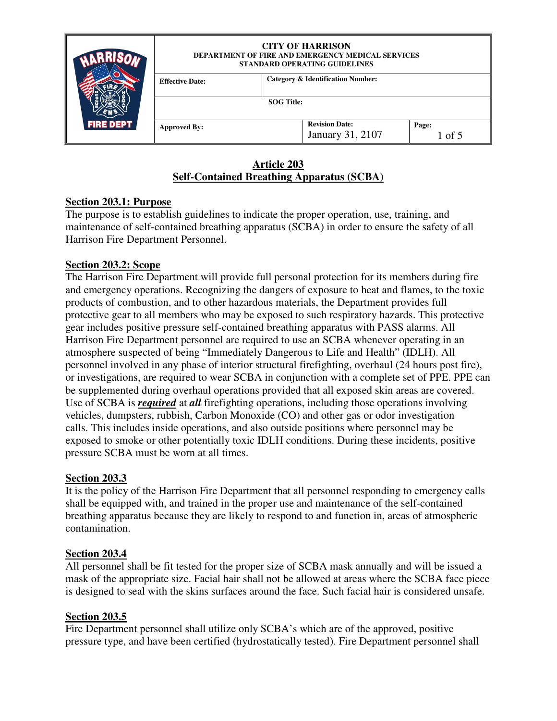|                  | <b>CITY OF HARRISON</b><br><b>DEPARTMENT OF FIRE AND EMERGENCY MEDICAL SERVICES</b><br>STANDARD OPERATING GUIDELINES |                                              |                                           |                 |  |
|------------------|----------------------------------------------------------------------------------------------------------------------|----------------------------------------------|-------------------------------------------|-----------------|--|
|                  | <b>Effective Date:</b>                                                                                               | <b>Category &amp; Identification Number:</b> |                                           |                 |  |
|                  |                                                                                                                      | <b>SOG</b> Title:                            |                                           |                 |  |
| <b>FIRE DEPT</b> | <b>Approved By:</b>                                                                                                  |                                              | <b>Revision Date:</b><br>January 31, 2107 | Page:<br>1 of 5 |  |
|                  |                                                                                                                      |                                              |                                           |                 |  |

#### **Article 203 Self-Contained Breathing Apparatus (SCBA)**

#### **Section 203.1: Purpose**

The purpose is to establish guidelines to indicate the proper operation, use, training, and maintenance of self-contained breathing apparatus (SCBA) in order to ensure the safety of all Harrison Fire Department Personnel.

#### **Section 203.2: Scope**

The Harrison Fire Department will provide full personal protection for its members during fire and emergency operations. Recognizing the dangers of exposure to heat and flames, to the toxic products of combustion, and to other hazardous materials, the Department provides full protective gear to all members who may be exposed to such respiratory hazards. This protective gear includes positive pressure self-contained breathing apparatus with PASS alarms. All Harrison Fire Department personnel are required to use an SCBA whenever operating in an atmosphere suspected of being "Immediately Dangerous to Life and Health" (IDLH). All personnel involved in any phase of interior structural firefighting, overhaul (24 hours post fire), or investigations, are required to wear SCBA in conjunction with a complete set of PPE. PPE can be supplemented during overhaul operations provided that all exposed skin areas are covered. Use of SCBA is *required* at *all* firefighting operations, including those operations involving vehicles, dumpsters, rubbish, Carbon Monoxide (CO) and other gas or odor investigation calls. This includes inside operations, and also outside positions where personnel may be exposed to smoke or other potentially toxic IDLH conditions. During these incidents, positive pressure SCBA must be worn at all times.

#### **Section 203.3**

It is the policy of the Harrison Fire Department that all personnel responding to emergency calls shall be equipped with, and trained in the proper use and maintenance of the self-contained breathing apparatus because they are likely to respond to and function in, areas of atmospheric contamination.

#### **Section 203.4**

All personnel shall be fit tested for the proper size of SCBA mask annually and will be issued a mask of the appropriate size. Facial hair shall not be allowed at areas where the SCBA face piece is designed to seal with the skins surfaces around the face. Such facial hair is considered unsafe.

#### **Section 203.5**

Fire Department personnel shall utilize only SCBA's which are of the approved, positive pressure type, and have been certified (hydrostatically tested). Fire Department personnel shall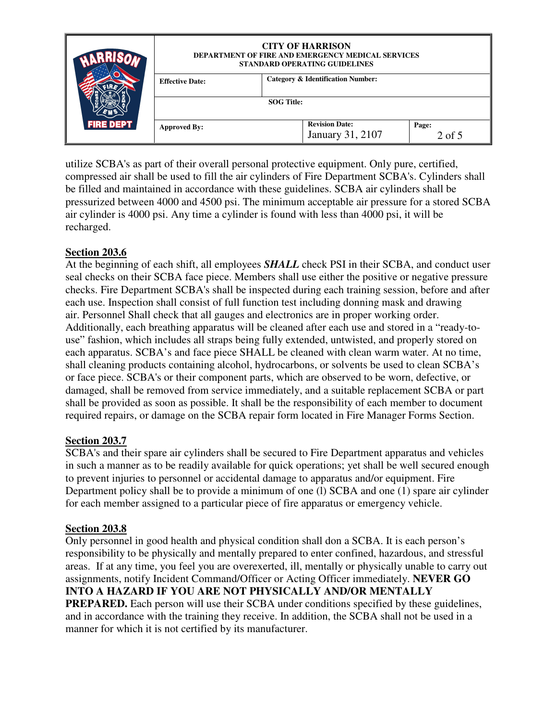|                  | <b>CITY OF HARRISON</b><br><b>DEPARTMENT OF FIRE AND EMERGENCY MEDICAL SERVICES</b><br>STANDARD OPERATING GUIDELINES |                                              |                     |  |
|------------------|----------------------------------------------------------------------------------------------------------------------|----------------------------------------------|---------------------|--|
|                  | <b>Effective Date:</b>                                                                                               | <b>Category &amp; Identification Number:</b> |                     |  |
|                  |                                                                                                                      | <b>SOG Title:</b>                            |                     |  |
| <b>FIRE DEPT</b> | <b>Approved By:</b>                                                                                                  | <b>Revision Date:</b><br>January 31, 2107    | Page:<br>$2$ of $5$ |  |

utilize SCBA's as part of their overall personal protective equipment. Only pure, certified, compressed air shall be used to fill the air cylinders of Fire Department SCBA's. Cylinders shall be filled and maintained in accordance with these guidelines. SCBA air cylinders shall be pressurized between 4000 and 4500 psi. The minimum acceptable air pressure for a stored SCBA air cylinder is 4000 psi. Any time a cylinder is found with less than 4000 psi, it will be recharged.

#### **Section 203.6**

At the beginning of each shift, all employees *SHALL* check PSI in their SCBA, and conduct user seal checks on their SCBA face piece. Members shall use either the positive or negative pressure checks. Fire Department SCBA's shall be inspected during each training session, before and after each use. Inspection shall consist of full function test including donning mask and drawing air. Personnel Shall check that all gauges and electronics are in proper working order. Additionally, each breathing apparatus will be cleaned after each use and stored in a "ready-touse" fashion, which includes all straps being fully extended, untwisted, and properly stored on each apparatus. SCBA's and face piece SHALL be cleaned with clean warm water. At no time, shall cleaning products containing alcohol, hydrocarbons, or solvents be used to clean SCBA's or face piece. SCBA's or their component parts, which are observed to be worn, defective, or damaged, shall be removed from service immediately, and a suitable replacement SCBA or part shall be provided as soon as possible. It shall be the responsibility of each member to document required repairs, or damage on the SCBA repair form located in Fire Manager Forms Section.

#### **Section 203.7**

SCBA's and their spare air cylinders shall be secured to Fire Department apparatus and vehicles in such a manner as to be readily available for quick operations; yet shall be well secured enough to prevent injuries to personnel or accidental damage to apparatus and/or equipment. Fire Department policy shall be to provide a minimum of one (l) SCBA and one (1) spare air cylinder for each member assigned to a particular piece of fire apparatus or emergency vehicle.

#### **Section 203.8**

Only personnel in good health and physical condition shall don a SCBA. It is each person's responsibility to be physically and mentally prepared to enter confined, hazardous, and stressful areas. If at any time, you feel you are overexerted, ill, mentally or physically unable to carry out assignments, notify Incident Command/Officer or Acting Officer immediately. **NEVER GO INTO A HAZARD IF YOU ARE NOT PHYSICALLY AND/OR MENTALLY PREPARED.** Each person will use their SCBA under conditions specified by these guidelines, and in accordance with the training they receive. In addition, the SCBA shall not be used in a manner for which it is not certified by its manufacturer.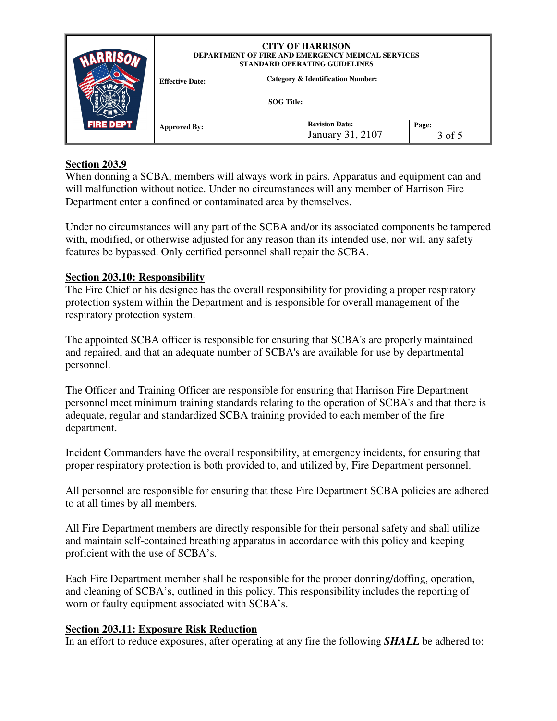| <b>FIRE DEPT</b> | <b>CITY OF HARRISON</b><br><b>DEPARTMENT OF FIRE AND EMERGENCY MEDICAL SERVICES</b><br><b>STANDARD OPERATING GUIDELINES</b> |                                              |                  |                 |
|------------------|-----------------------------------------------------------------------------------------------------------------------------|----------------------------------------------|------------------|-----------------|
|                  | <b>Effective Date:</b>                                                                                                      | <b>Category &amp; Identification Number:</b> |                  |                 |
|                  |                                                                                                                             | <b>SOG Title:</b>                            |                  |                 |
|                  | <b>Approved By:</b>                                                                                                         | <b>Revision Date:</b>                        | January 31, 2107 | Page:<br>3 of 5 |

### **Section 203.9**

When donning a SCBA, members will always work in pairs. Apparatus and equipment can and will malfunction without notice. Under no circumstances will any member of Harrison Fire Department enter a confined or contaminated area by themselves.

Under no circumstances will any part of the SCBA and/or its associated components be tampered with, modified, or otherwise adjusted for any reason than its intended use, nor will any safety features be bypassed. Only certified personnel shall repair the SCBA.

#### **Section 203.10: Responsibility**

The Fire Chief or his designee has the overall responsibility for providing a proper respiratory protection system within the Department and is responsible for overall management of the respiratory protection system.

The appointed SCBA officer is responsible for ensuring that SCBA's are properly maintained and repaired, and that an adequate number of SCBA's are available for use by departmental personnel.

The Officer and Training Officer are responsible for ensuring that Harrison Fire Department personnel meet minimum training standards relating to the operation of SCBA's and that there is adequate, regular and standardized SCBA training provided to each member of the fire department.

Incident Commanders have the overall responsibility, at emergency incidents, for ensuring that proper respiratory protection is both provided to, and utilized by, Fire Department personnel.

All personnel are responsible for ensuring that these Fire Department SCBA policies are adhered to at all times by all members.

All Fire Department members are directly responsible for their personal safety and shall utilize and maintain self-contained breathing apparatus in accordance with this policy and keeping proficient with the use of SCBA's.

Each Fire Department member shall be responsible for the proper donning/doffing, operation, and cleaning of SCBA's, outlined in this policy. This responsibility includes the reporting of worn or faulty equipment associated with SCBA's.

#### **Section 203.11: Exposure Risk Reduction**

In an effort to reduce exposures, after operating at any fire the following *SHALL* be adhered to: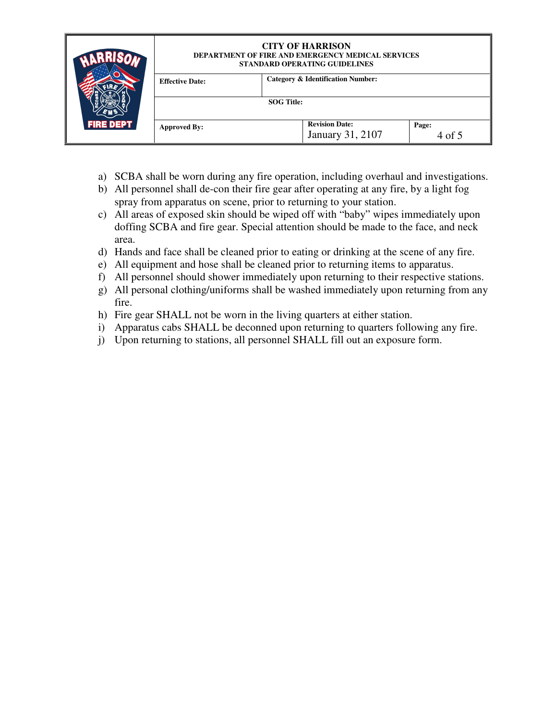|                  | <b>CITY OF HARRISON</b><br><b>DEPARTMENT OF FIRE AND EMERGENCY MEDICAL SERVICES</b><br>STANDARD OPERATING GUIDELINES |                                              |                                           |                 |  |
|------------------|----------------------------------------------------------------------------------------------------------------------|----------------------------------------------|-------------------------------------------|-----------------|--|
|                  | <b>Effective Date:</b>                                                                                               | <b>Category &amp; Identification Number:</b> |                                           |                 |  |
| <b>FIRE DEPT</b> |                                                                                                                      | <b>SOG Title:</b>                            |                                           |                 |  |
|                  | <b>Approved By:</b>                                                                                                  |                                              | <b>Revision Date:</b><br>January 31, 2107 | Page:<br>4 of 5 |  |

- a) SCBA shall be worn during any fire operation, including overhaul and investigations.
- b) All personnel shall de-con their fire gear after operating at any fire, by a light fog spray from apparatus on scene, prior to returning to your station.
- c) All areas of exposed skin should be wiped off with "baby" wipes immediately upon doffing SCBA and fire gear. Special attention should be made to the face, and neck area.
- d) Hands and face shall be cleaned prior to eating or drinking at the scene of any fire.
- e) All equipment and hose shall be cleaned prior to returning items to apparatus.
- f) All personnel should shower immediately upon returning to their respective stations.
- g) All personal clothing/uniforms shall be washed immediately upon returning from any fire.
- h) Fire gear SHALL not be worn in the living quarters at either station.
- i) Apparatus cabs SHALL be deconned upon returning to quarters following any fire.
- j) Upon returning to stations, all personnel SHALL fill out an exposure form.